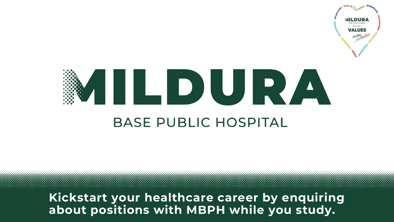

# AILDURA **BASE PUBLIC HOSPITAL**

**Kickstart your healthcare career by enquiring about positions with MBPH while you study.**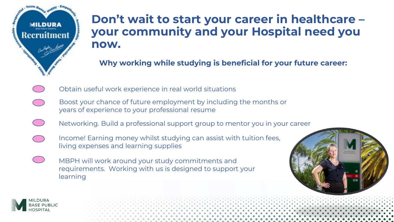

## **Don't wait to start your career in healthcare – your community and your Hospital need you now.**

**Why working while studying is beneficial for your future career:** 

- Obtain useful work experience in real world situations
- Boost your chance of future employment by including the months or years of experience to your professional resume
- Networking. Build a professional support group to mentor you in your career
- Income! Earning money whilst studying can assist with tuition fees, living expenses and learning supplies
	- MBPH will work around your study commitments and requirements. Working with us is designed to support your learning



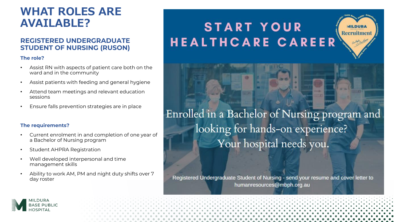### **WHAT ROLES ARE AVAILABLE?**

#### **REGISTERED UNDERGRADUATE STUDENT OF NURSING (RUSON)**

#### **The role?**

- Assist RN with aspects of patient care both on the ward and in the community
- Assist patients with feeding and general hygiene
- Attend team meetings and relevant education sessions
- Ensure falls prevention strategies are in place

#### **The requirements?**

- Current enrolment in and completion of one year of a Bachelor of Nursing program
- Student AHPRA Registration
- Well developed interpersonal and time management skills
- Ability to work AM, PM and night duty shifts over 7 day roster

# **START YOUR HEALTHCARE CAREER**

Enrolled in a Bachelor of Nursing program and looking for hands-on experience? Your hospital needs you.

**MILDURA** Recruitment

Registered Undergraduate Student of Nursing - send your resume and cover letter to humanresources@mbph.org.au

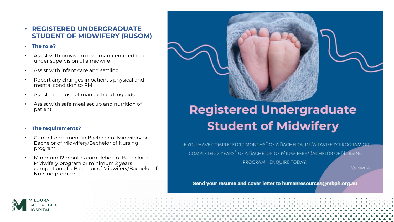#### • **REGISTERED UNDERGRADUATE STUDENT OF MIDWIFERY (RUSOM)**

#### • **The role?**

- Assist with provision of woman-centered care under supervision of a midwife
- Assist with infant care and settling
- Report any changes in patient's physical and mental condition to RM
- Assist in the use of manual handling aids
- Assist with safe meal set up and nutrition of patient

#### • **The requirements?**

- Current enrolment in Bachelor of Midwifery or Bachelor of Midwifery/Bachelor of Nursing program
- Minimum 12 months completion of Bachelor of Midwifery program or minimum 2 years completion of a Bachelor of Midwifery/Bachelor of Nursing program

# **Registered Undergraduate Student of Midwifery**

IF YOU HAVE COMPLETED 12 MONTHS<sup>\*</sup> OF A BACHELOR IN MIDWIFERY PROGRAM OR-COMPLETED 2 YEARS\* OF A BACHELOR OF MIDWIFERY/BACHELOR OF NURSING

PROGRAM - ENQUIRE TODAY!

\*(MINIMUM)

Send your resume and cover letter to humanresources@mbph.org.au

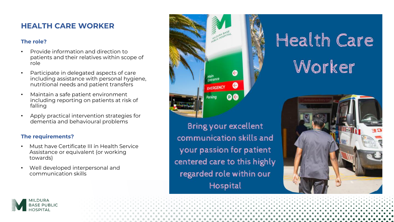### **HEALTH CARE WORKER**

#### **The role?**

- Provide information and direction to patients and their relatives within scope of role
- Participate in delegated aspects of care including assistance with personal hygiene, nutritional needs and patient transfers
- Maintain a safe patient environment including reporting on patients at risk of falling
- Apply practical intervention strategies for dementia and behavioural problems

#### **The requirements?**

- Must have Certificate III in Health Service Assistance or equivalent (or working towards)
- Well developed interpersonal and communication skills



**Bring your excellent** communication skills and your passion for patient centered care to this highly regarded role within our Hospital

# Health Care Worker